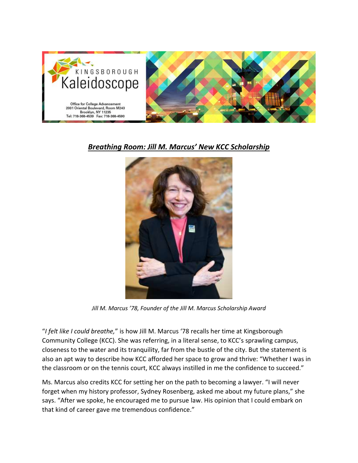

## *Breathing Room: Jill M. Marcus' New KCC Scholarship*



*Jill M. Marcus '78, Founder of the Jill M. Marcus Scholarship Award*

"*I felt like I could breathe,*" is how Jill M. Marcus '78 recalls her time at Kingsborough Community College (KCC). She was referring, in a literal sense, to KCC's sprawling campus, closeness to the water and its tranquility, far from the bustle of the city. But the statement is also an apt way to describe how KCC afforded her space to grow and thrive: "Whether I was in the classroom or on the tennis court, KCC always instilled in me the confidence to succeed."

Ms. Marcus also credits KCC for setting her on the path to becoming a lawyer. "I will never forget when my history professor, Sydney Rosenberg, asked me about my future plans," she says. "After we spoke, he encouraged me to pursue law. His opinion that I could embark on that kind of career gave me tremendous confidence."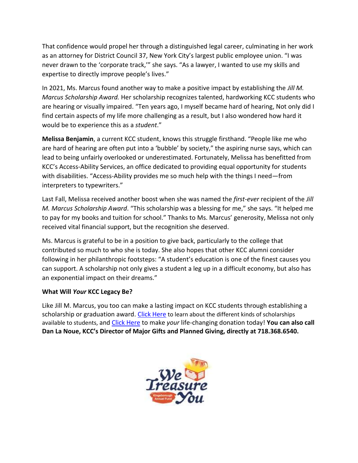That confidence would propel her through a distinguished legal career, culminating in her work as an attorney for District Council 37, New York City's largest public employee union. "I was never drawn to the 'corporate track,'" she says. "As a lawyer, I wanted to use my skills and expertise to directly improve people's lives."

In 2021, Ms. Marcus found another way to make a positive impact by establishing the *Jill M. Marcus Scholarship Award.* Her scholarship recognizes talented, hardworking KCC students who are hearing or visually impaired. "Ten years ago, I myself became hard of hearing, Not only did I find certain aspects of my life more challenging as a result, but I also wondered how hard it would be to experience this as a *student*."

**Melissa Benjamin**, a current KCC student, knows this struggle firsthand. "People like me who are hard of hearing are often put into a 'bubble' by society," the aspiring nurse says, which can lead to being unfairly overlooked or underestimated. Fortunately, Melissa has benefitted from KCC's Access-Ability Services, an office dedicated to providing equal opportunity for students with disabilities. "Access-Ability provides me so much help with the things I need—from interpreters to typewriters."

Last Fall, Melissa received another boost when she was named the *first-ever* recipient of the *Jill M. Marcus Scholarship Award*. "This scholarship was a blessing for me," she says. "It helped me to pay for my books and tuition for school." Thanks to Ms. Marcus' generosity, Melissa not only received vital financial support, but the recognition she deserved.

Ms. Marcus is grateful to be in a position to give back, particularly to the college that contributed so much to who she is today. She also hopes that other KCC alumni consider following in her philanthropic footsteps: "A student's education is one of the finest causes you can support. A scholarship not only gives a student a leg up in a difficult economy, but also has an exponential impact on their dreams."

## **What Will** *Your* **KCC Legacy Be?**

Like Jill M. Marcus, you too can make a lasting impact on KCC students through establishing a scholarship or graduation award. [Click Here](https://www.kbcc.cuny.edu/colladvancement/waystosupportkcc.html) to learn about the different kinds of scholarships available to students, and [Click Here](https://21409.thankyou4caring.org/online-donations) to make *your* life-changing donation today! **You can also call Dan La Noue, KCC's Director of Major Gifts and Planned Giving, directly at 718.368.6540.**